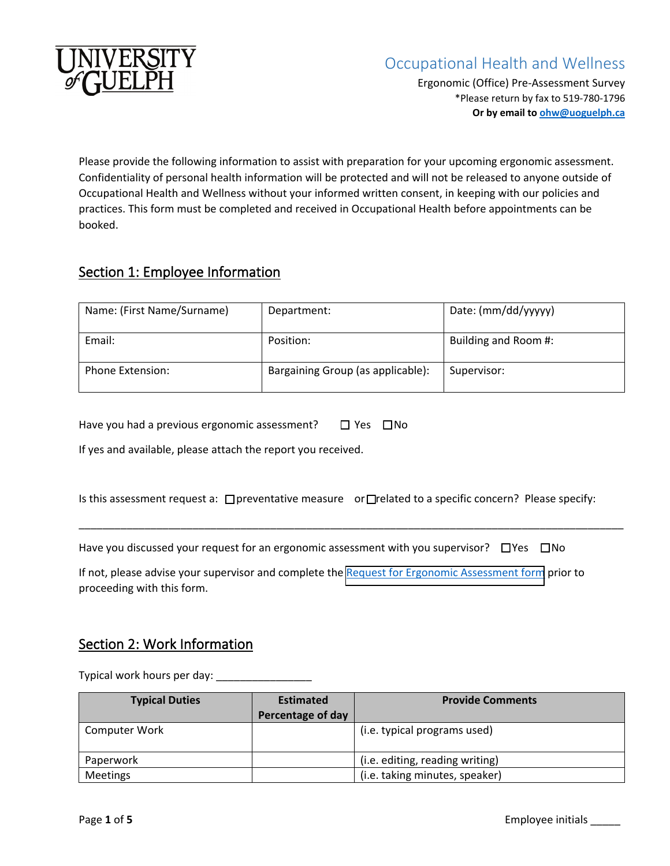

Ergonomic (Office) Pre-Assessment Survey \*Please return by fax to 519-780-1796 **Or by email t[o ohw@uoguelph.ca](mailto:ohw@uoguelph.ca)**

Please provide the following information to assist with preparation for your upcoming ergonomic assessment. Confidentiality of personal health information will be protected and will not be released to anyone outside of Occupational Health and Wellness without your informed written consent, in keeping with our policies and practices. This form must be completed and received in Occupational Health before appointments can be booked.

## Section 1: Employee Information

| Name: (First Name/Surname) | Department:                       | Date: (mm/dd/yyyyy)  |
|----------------------------|-----------------------------------|----------------------|
| Email:                     | Position:                         | Building and Room #: |
| Phone Extension:           | Bargaining Group (as applicable): | Supervisor:          |

| Have you had a previous ergonomic assessment? | $\square$ Yes $\square$ No |  |
|-----------------------------------------------|----------------------------|--|
|-----------------------------------------------|----------------------------|--|

If yes and available, please attach the report you received.

|  |  | Is this assessment request a: $\Box$ preventative measure or $\Box$ related to a specific concern? Please specify: |  |
|--|--|--------------------------------------------------------------------------------------------------------------------|--|
|--|--|--------------------------------------------------------------------------------------------------------------------|--|

\_\_\_\_\_\_\_\_\_\_\_\_\_\_\_\_\_\_\_\_\_\_\_\_\_\_\_\_\_\_\_\_\_\_\_\_\_\_\_\_\_\_\_\_\_\_\_\_\_\_\_\_\_\_\_\_\_\_\_\_\_\_\_\_\_\_\_\_\_\_\_\_\_\_\_\_\_\_\_\_\_\_\_\_\_\_\_\_\_\_\_

Have you discussed your request for an ergonomic assessment with you supervisor?  $\Box$  Yes  $\Box$  No

If not, please advise your supervisor and complete the [Request for Ergonomic Assessment form](https://www.uoguelph.ca/hr/about-hr/occupational-health-and-wellness-ohw/ohw-forms-and-documents) prior to proceeding with this form.

#### Section 2: Work Information

Typical work hours per day: \_\_\_\_\_\_\_\_\_\_\_\_\_\_\_\_

| <b>Typical Duties</b> | <b>Estimated</b><br>Percentage of day | <b>Provide Comments</b>         |
|-----------------------|---------------------------------------|---------------------------------|
| <b>Computer Work</b>  |                                       | (i.e. typical programs used)    |
| Paperwork             |                                       | (i.e. editing, reading writing) |
| Meetings              |                                       | (i.e. taking minutes, speaker)  |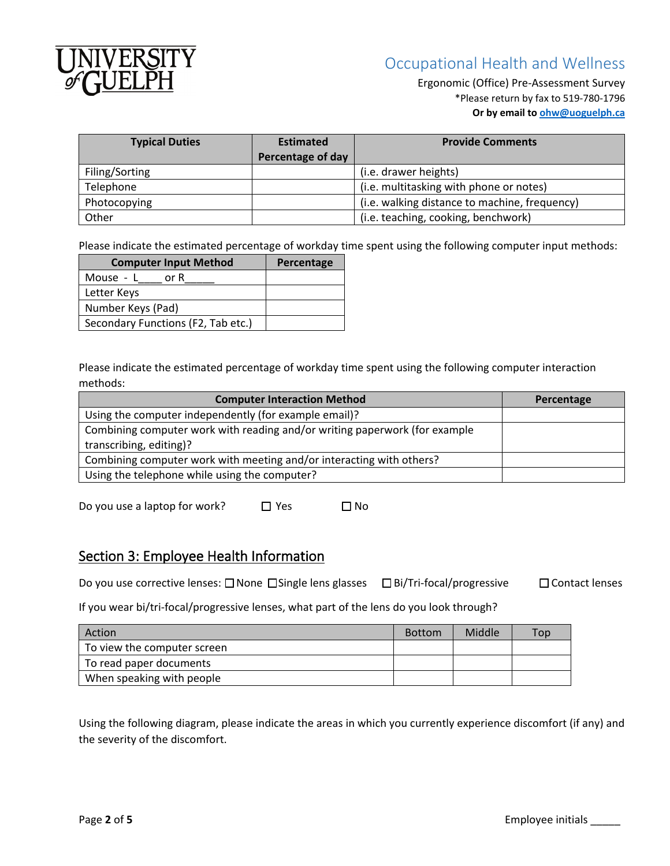

Ergonomic (Office) Pre-Assessment Survey \*Please return by fax to 519-780-1796  **Or by email to [ohw@uoguelph.ca](mailto:ohw@uoguelph.ca)**

| <b>Typical Duties</b> | <b>Estimated</b>  | <b>Provide Comments</b>                       |
|-----------------------|-------------------|-----------------------------------------------|
|                       | Percentage of day |                                               |
| Filing/Sorting        |                   | (i.e. drawer heights)                         |
| Telephone             |                   | (i.e. multitasking with phone or notes)       |
| Photocopying          |                   | (i.e. walking distance to machine, frequency) |
| Other                 |                   | (i.e. teaching, cooking, benchwork)           |

Please indicate the estimated percentage of workday time spent using the following computer input methods:

| <b>Computer Input Method</b>       | Percentage |
|------------------------------------|------------|
| Mouse - L<br>or R                  |            |
| Letter Keys                        |            |
| Number Keys (Pad)                  |            |
| Secondary Functions (F2, Tab etc.) |            |

Please indicate the estimated percentage of workday time spent using the following computer interaction methods:

| <b>Computer Interaction Method</b>                                         | Percentage |
|----------------------------------------------------------------------------|------------|
| Using the computer independently (for example email)?                      |            |
| Combining computer work with reading and/or writing paperwork (for example |            |
| transcribing, editing)?                                                    |            |
| Combining computer work with meeting and/or interacting with others?       |            |
| Using the telephone while using the computer?                              |            |

Do you use a laptop for work?  $\Box$  Yes  $\Box$  No

#### Section 3: Employee Health Information

Do you use corrective lenses: □ None □ Single lens glasses □ Bi/Tri-focal/progressive □ Contact lenses

If you wear bi/tri-focal/progressive lenses, what part of the lens do you look through?

| Action                      | <b>Bottom</b> | Middle | <b>Top</b> |
|-----------------------------|---------------|--------|------------|
| To view the computer screen |               |        |            |
| To read paper documents     |               |        |            |
| When speaking with people   |               |        |            |

Using the following diagram, please indicate the areas in which you currently experience discomfort (if any) and the severity of the discomfort.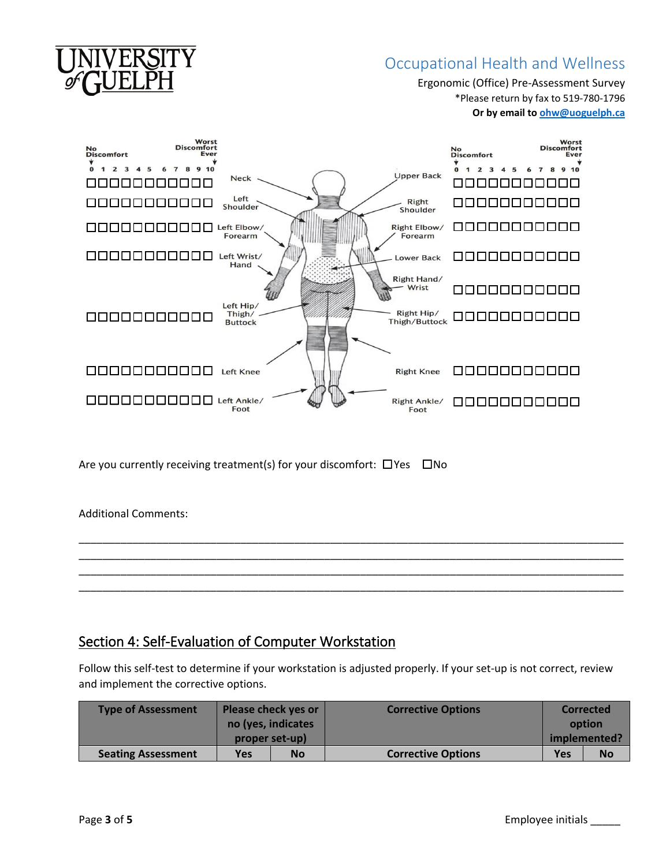

Ergonomic (Office) Pre-Assessment Survey \*Please return by fax to 519-780-1796  **Or by email to [ohw@uoguelph.ca](mailto:ohw@uoguelph.ca)**



Are you currently receiving treatment(s) for your discomfort:  $\Box$  Yes  $\Box$  No

Additional Comments:

## Section 4: Self-Evaluation of Computer Workstation

Follow this self-test to determine if your workstation is adjusted properly. If your set-up is not correct, review and implement the corrective options.

\_\_\_\_\_\_\_\_\_\_\_\_\_\_\_\_\_\_\_\_\_\_\_\_\_\_\_\_\_\_\_\_\_\_\_\_\_\_\_\_\_\_\_\_\_\_\_\_\_\_\_\_\_\_\_\_\_\_\_\_\_\_\_\_\_\_\_\_\_\_\_\_\_\_\_\_\_\_\_\_\_\_\_\_\_\_\_\_\_\_\_ \_\_\_\_\_\_\_\_\_\_\_\_\_\_\_\_\_\_\_\_\_\_\_\_\_\_\_\_\_\_\_\_\_\_\_\_\_\_\_\_\_\_\_\_\_\_\_\_\_\_\_\_\_\_\_\_\_\_\_\_\_\_\_\_\_\_\_\_\_\_\_\_\_\_\_\_\_\_\_\_\_\_\_\_\_\_\_\_\_\_\_ \_\_\_\_\_\_\_\_\_\_\_\_\_\_\_\_\_\_\_\_\_\_\_\_\_\_\_\_\_\_\_\_\_\_\_\_\_\_\_\_\_\_\_\_\_\_\_\_\_\_\_\_\_\_\_\_\_\_\_\_\_\_\_\_\_\_\_\_\_\_\_\_\_\_\_\_\_\_\_\_\_\_\_\_\_\_\_\_\_\_\_ \_\_\_\_\_\_\_\_\_\_\_\_\_\_\_\_\_\_\_\_\_\_\_\_\_\_\_\_\_\_\_\_\_\_\_\_\_\_\_\_\_\_\_\_\_\_\_\_\_\_\_\_\_\_\_\_\_\_\_\_\_\_\_\_\_\_\_\_\_\_\_\_\_\_\_\_\_\_\_\_\_\_\_\_\_\_\_\_\_\_\_

| <b>Type of Assessment</b> | <b>Please check yes or</b><br>no (yes, indicates |           | <b>Corrective Options</b> |            | <b>Corrected</b><br>option |
|---------------------------|--------------------------------------------------|-----------|---------------------------|------------|----------------------------|
|                           | proper set-up)                                   |           |                           |            | implemented?               |
| <b>Seating Assessment</b> | Yes                                              | <b>No</b> | <b>Corrective Options</b> | <b>Yes</b> | <b>No</b>                  |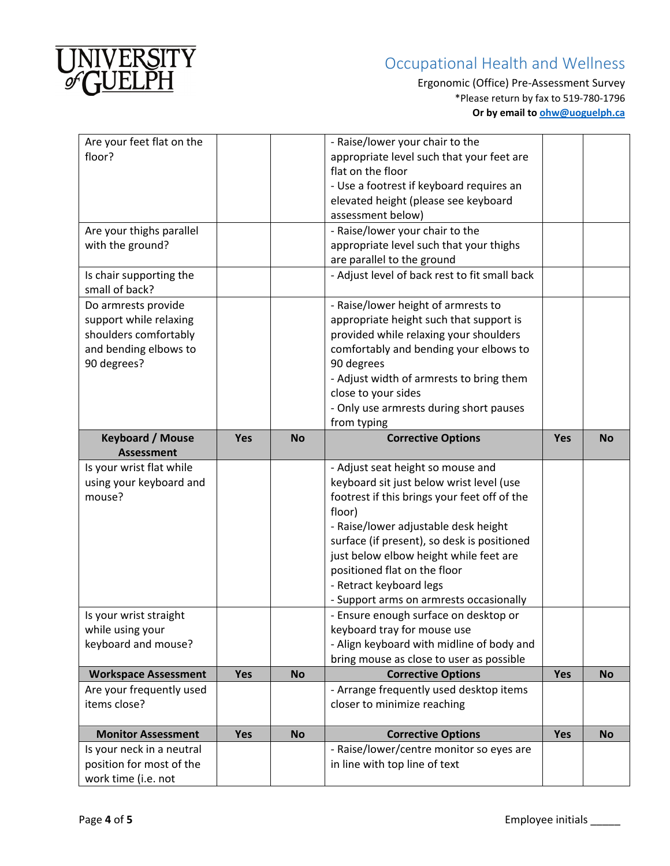

Ergonomic (Office) Pre-Assessment Survey \*Please return by fax to 519-780-1796  **Or by email to [ohw@uoguelph.ca](mailto:ohw@uoguelph.ca)**

| Are your feet flat on the                 |            |           | - Raise/lower your chair to the                                |     |           |
|-------------------------------------------|------------|-----------|----------------------------------------------------------------|-----|-----------|
| floor?                                    |            |           |                                                                |     |           |
|                                           |            |           | appropriate level such that your feet are<br>flat on the floor |     |           |
|                                           |            |           |                                                                |     |           |
|                                           |            |           | - Use a footrest if keyboard requires an                       |     |           |
|                                           |            |           | elevated height (please see keyboard                           |     |           |
|                                           |            |           | assessment below)                                              |     |           |
| Are your thighs parallel                  |            |           | - Raise/lower your chair to the                                |     |           |
| with the ground?                          |            |           | appropriate level such that your thighs                        |     |           |
|                                           |            |           | are parallel to the ground                                     |     |           |
| Is chair supporting the<br>small of back? |            |           | - Adjust level of back rest to fit small back                  |     |           |
| Do armrests provide                       |            |           | - Raise/lower height of armrests to                            |     |           |
| support while relaxing                    |            |           | appropriate height such that support is                        |     |           |
| shoulders comfortably                     |            |           | provided while relaxing your shoulders                         |     |           |
| and bending elbows to                     |            |           | comfortably and bending your elbows to                         |     |           |
| 90 degrees?                               |            |           | 90 degrees                                                     |     |           |
|                                           |            |           | - Adjust width of armrests to bring them                       |     |           |
|                                           |            |           | close to your sides                                            |     |           |
|                                           |            |           | - Only use armrests during short pauses                        |     |           |
|                                           |            |           | from typing                                                    |     |           |
| <b>Keyboard / Mouse</b>                   | Yes        | <b>No</b> | <b>Corrective Options</b>                                      | Yes | <b>No</b> |
| <b>Assessment</b>                         |            |           |                                                                |     |           |
|                                           |            |           |                                                                |     |           |
|                                           |            |           |                                                                |     |           |
| Is your wrist flat while                  |            |           | - Adjust seat height so mouse and                              |     |           |
| using your keyboard and                   |            |           | keyboard sit just below wrist level (use                       |     |           |
| mouse?                                    |            |           | footrest if this brings your feet off of the                   |     |           |
|                                           |            |           | floor)                                                         |     |           |
|                                           |            |           | - Raise/lower adjustable desk height                           |     |           |
|                                           |            |           | surface (if present), so desk is positioned                    |     |           |
|                                           |            |           | just below elbow height while feet are                         |     |           |
|                                           |            |           | positioned flat on the floor                                   |     |           |
|                                           |            |           | - Retract keyboard legs                                        |     |           |
|                                           |            |           | - Support arms on armrests occasionally                        |     |           |
| Is your wrist straight                    |            |           | - Ensure enough surface on desktop or                          |     |           |
| while using your                          |            |           | keyboard tray for mouse use                                    |     |           |
| keyboard and mouse?                       |            |           | - Align keyboard with midline of body and                      |     |           |
|                                           |            |           | bring mouse as close to user as possible                       |     |           |
| <b>Workspace Assessment</b>               | Yes        | <b>No</b> | <b>Corrective Options</b>                                      | Yes | <b>No</b> |
| Are your frequently used                  |            |           | - Arrange frequently used desktop items                        |     |           |
| items close?                              |            |           | closer to minimize reaching                                    |     |           |
| <b>Monitor Assessment</b>                 | <b>Yes</b> | <b>No</b> | <b>Corrective Options</b>                                      | Yes | <b>No</b> |
| Is your neck in a neutral                 |            |           | - Raise/lower/centre monitor so eyes are                       |     |           |
| position for most of the                  |            |           | in line with top line of text                                  |     |           |